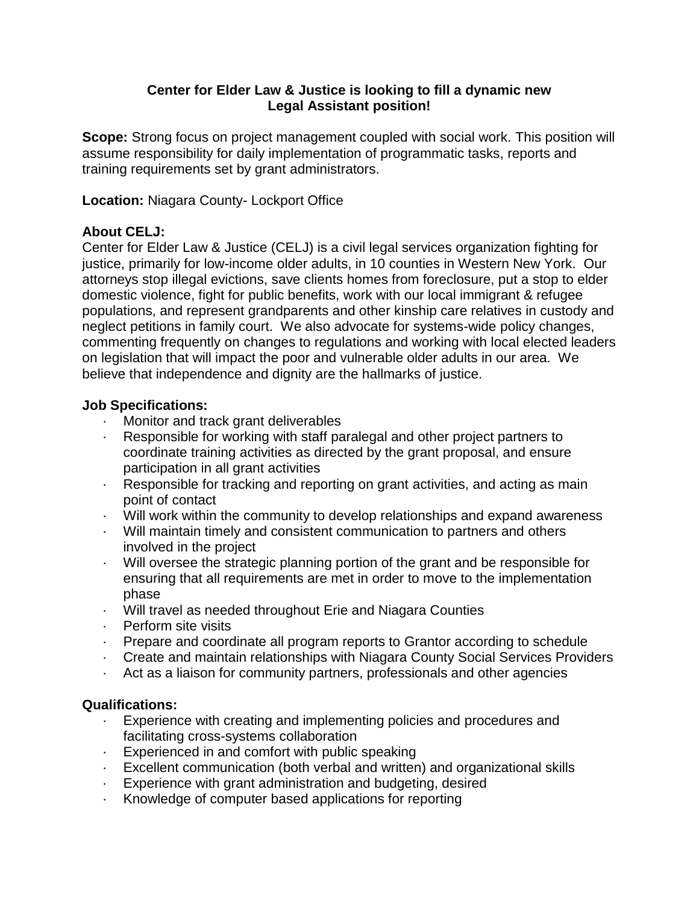#### **Center for Elder Law & Justice is looking to fill a dynamic new Legal Assistant position!**

**Scope:** Strong focus on project management coupled with social work. This position will assume responsibility for daily implementation of programmatic tasks, reports and training requirements set by grant administrators.

**Location:** Niagara County- Lockport Office

## **About CELJ:**

Center for Elder Law & Justice (CELJ) is a civil legal services organization fighting for justice, primarily for low-income older adults, in 10 counties in Western New York. Our attorneys stop illegal evictions, save clients homes from foreclosure, put a stop to elder domestic violence, fight for public benefits, work with our local immigrant & refugee populations, and represent grandparents and other kinship care relatives in custody and neglect petitions in family court. We also advocate for systems-wide policy changes, commenting frequently on changes to regulations and working with local elected leaders on legislation that will impact the poor and vulnerable older adults in our area. We believe that independence and dignity are the hallmarks of justice.

#### **Job Specifications:**

- · Monitor and track grant deliverables
- · Responsible for working with staff paralegal and other project partners to coordinate training activities as directed by the grant proposal, and ensure participation in all grant activities
- · Responsible for tracking and reporting on grant activities, and acting as main point of contact
- · Will work within the community to develop relationships and expand awareness
- · Will maintain timely and consistent communication to partners and others involved in the project
- · Will oversee the strategic planning portion of the grant and be responsible for ensuring that all requirements are met in order to move to the implementation phase
- · Will travel as needed throughout Erie and Niagara Counties
- · Perform site visits
- · Prepare and coordinate all program reports to Grantor according to schedule
- · Create and maintain relationships with Niagara County Social Services Providers
- · Act as a liaison for community partners, professionals and other agencies

## **Qualifications:**

- · Experience with creating and implementing policies and procedures and facilitating cross-systems collaboration
- · Experienced in and comfort with public speaking
- · Excellent communication (both verbal and written) and organizational skills
- · Experience with grant administration and budgeting, desired
- · Knowledge of computer based applications for reporting